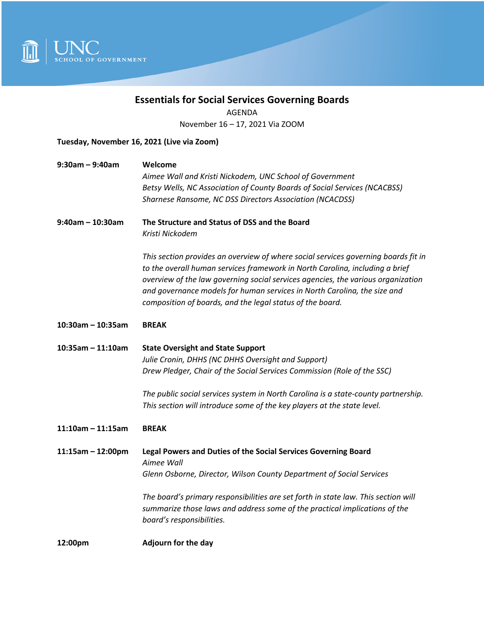

# **Essentials for Social Services Governing Boards**

AGENDA

November 16 – 17, 2021 Via ZOOM

#### **Tuesday, November 16, 2021 (Live via Zoom)**

| $9:30$ am – 9:40am   | Welcome                                                                                                                                                      |
|----------------------|--------------------------------------------------------------------------------------------------------------------------------------------------------------|
|                      | Aimee Wall and Kristi Nickodem, UNC School of Government                                                                                                     |
|                      | Betsy Wells, NC Association of County Boards of Social Services (NCACBSS)                                                                                    |
|                      | Sharnese Ransome, NC DSS Directors Association (NCACDSS)                                                                                                     |
| $9:40$ am – 10:30am  | The Structure and Status of DSS and the Board                                                                                                                |
|                      | Kristi Nickodem                                                                                                                                              |
|                      | This section provides an overview of where social services governing boards fit in                                                                           |
|                      | to the overall human services framework in North Carolina, including a brief                                                                                 |
|                      | overview of the law governing social services agencies, the various organization<br>and governance models for human services in North Carolina, the size and |
|                      | composition of boards, and the legal status of the board.                                                                                                    |
| $10:30$ am - 10:35am | <b>BREAK</b>                                                                                                                                                 |

**10:35am – 11:10am State Oversight and State Support** *Julie Cronin, DHHS (NC DHHS Oversight and Support) Drew Pledger, Chair of the Social Services Commission (Role of the SSC)*

> *The public social services system in North Carolina is a state-county partnership. This section will introduce some of the key players at the state level.*

## **11:10am – 11:15am BREAK**

**11:15am – 12:00pm Legal Powers and Duties of the Social Services Governing Board** *Aimee Wall Glenn Osborne, Director, Wilson County Department of Social Services*

> *The board's primary responsibilities are set forth in state law. This section will summarize those laws and address some of the practical implications of the board's responsibilities.*

**12:00pm Adjourn for the day**